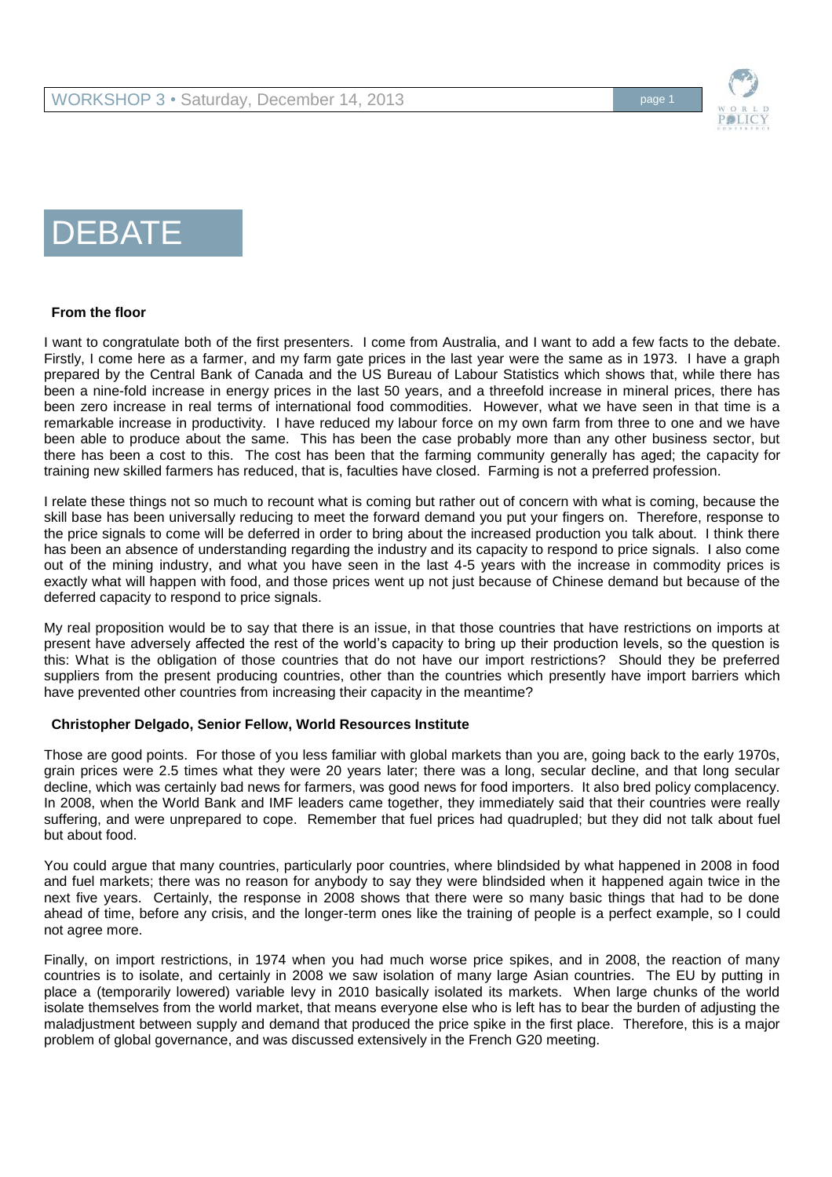

# DEBATE

# **From the floor**

I want to congratulate both of the first presenters. I come from Australia, and I want to add a few facts to the debate. Firstly, I come here as a farmer, and my farm gate prices in the last year were the same as in 1973. I have a graph prepared by the Central Bank of Canada and the US Bureau of Labour Statistics which shows that, while there has been a nine-fold increase in energy prices in the last 50 years, and a threefold increase in mineral prices, there has been zero increase in real terms of international food commodities. However, what we have seen in that time is a remarkable increase in productivity. I have reduced my labour force on my own farm from three to one and we have been able to produce about the same. This has been the case probably more than any other business sector, but there has been a cost to this. The cost has been that the farming community generally has aged; the capacity for training new skilled farmers has reduced, that is, faculties have closed. Farming is not a preferred profession.

I relate these things not so much to recount what is coming but rather out of concern with what is coming, because the skill base has been universally reducing to meet the forward demand you put your fingers on. Therefore, response to the price signals to come will be deferred in order to bring about the increased production you talk about. I think there has been an absence of understanding regarding the industry and its capacity to respond to price signals. I also come out of the mining industry, and what you have seen in the last 4-5 years with the increase in commodity prices is exactly what will happen with food, and those prices went up not just because of Chinese demand but because of the deferred capacity to respond to price signals.

My real proposition would be to say that there is an issue, in that those countries that have restrictions on imports at present have adversely affected the rest of the world's capacity to bring up their production levels, so the question is this: What is the obligation of those countries that do not have our import restrictions? Should they be preferred suppliers from the present producing countries, other than the countries which presently have import barriers which have prevented other countries from increasing their capacity in the meantime?

# **Christopher Delgado, Senior Fellow, World Resources Institute**

Those are good points. For those of you less familiar with global markets than you are, going back to the early 1970s, grain prices were 2.5 times what they were 20 years later; there was a long, secular decline, and that long secular decline, which was certainly bad news for farmers, was good news for food importers. It also bred policy complacency. In 2008, when the World Bank and IMF leaders came together, they immediately said that their countries were really suffering, and were unprepared to cope. Remember that fuel prices had quadrupled; but they did not talk about fuel but about food.

You could argue that many countries, particularly poor countries, where blindsided by what happened in 2008 in food and fuel markets; there was no reason for anybody to say they were blindsided when it happened again twice in the next five years. Certainly, the response in 2008 shows that there were so many basic things that had to be done ahead of time, before any crisis, and the longer-term ones like the training of people is a perfect example, so I could not agree more.

Finally, on import restrictions, in 1974 when you had much worse price spikes, and in 2008, the reaction of many countries is to isolate, and certainly in 2008 we saw isolation of many large Asian countries. The EU by putting in place a (temporarily lowered) variable levy in 2010 basically isolated its markets. When large chunks of the world isolate themselves from the world market, that means everyone else who is left has to bear the burden of adjusting the maladjustment between supply and demand that produced the price spike in the first place. Therefore, this is a major problem of global governance, and was discussed extensively in the French G20 meeting.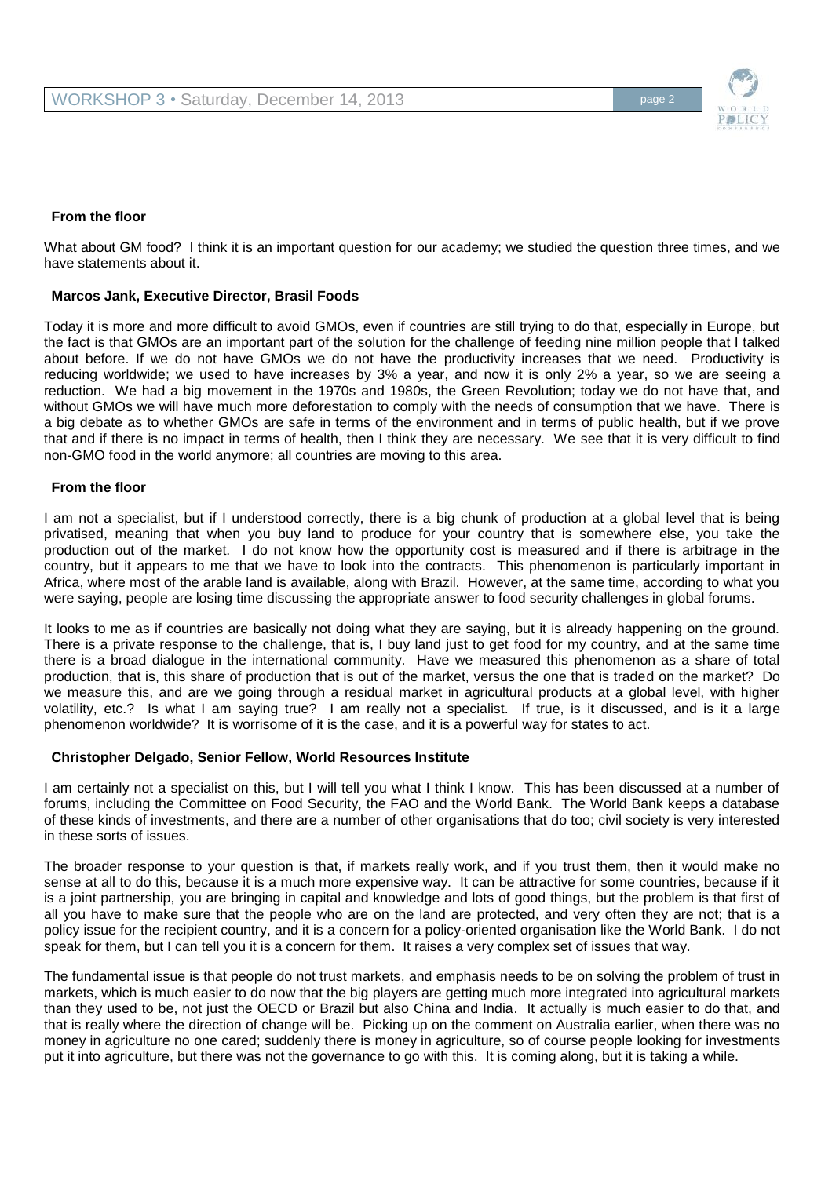

#### **From the floor**

What about GM food? I think it is an important question for our academy; we studied the question three times, and we have statements about it.

#### **Marcos Jank, Executive Director, Brasil Foods**

Today it is more and more difficult to avoid GMOs, even if countries are still trying to do that, especially in Europe, but the fact is that GMOs are an important part of the solution for the challenge of feeding nine million people that I talked about before. If we do not have GMOs we do not have the productivity increases that we need. Productivity is reducing worldwide; we used to have increases by 3% a year, and now it is only 2% a year, so we are seeing a reduction. We had a big movement in the 1970s and 1980s, the Green Revolution; today we do not have that, and without GMOs we will have much more deforestation to comply with the needs of consumption that we have. There is a big debate as to whether GMOs are safe in terms of the environment and in terms of public health, but if we prove that and if there is no impact in terms of health, then I think they are necessary. We see that it is very difficult to find non-GMO food in the world anymore; all countries are moving to this area.

#### **From the floor**

I am not a specialist, but if I understood correctly, there is a big chunk of production at a global level that is being privatised, meaning that when you buy land to produce for your country that is somewhere else, you take the production out of the market. I do not know how the opportunity cost is measured and if there is arbitrage in the country, but it appears to me that we have to look into the contracts. This phenomenon is particularly important in Africa, where most of the arable land is available, along with Brazil. However, at the same time, according to what you were saying, people are losing time discussing the appropriate answer to food security challenges in global forums.

It looks to me as if countries are basically not doing what they are saying, but it is already happening on the ground. There is a private response to the challenge, that is, I buy land just to get food for my country, and at the same time there is a broad dialogue in the international community. Have we measured this phenomenon as a share of total production, that is, this share of production that is out of the market, versus the one that is traded on the market? Do we measure this, and are we going through a residual market in agricultural products at a global level, with higher volatility, etc.? Is what I am saying true? I am really not a specialist. If true, is it discussed, and is it a large phenomenon worldwide? It is worrisome of it is the case, and it is a powerful way for states to act.

#### **Christopher Delgado, Senior Fellow, World Resources Institute**

I am certainly not a specialist on this, but I will tell you what I think I know. This has been discussed at a number of forums, including the Committee on Food Security, the FAO and the World Bank. The World Bank keeps a database of these kinds of investments, and there are a number of other organisations that do too; civil society is very interested in these sorts of issues.

The broader response to your question is that, if markets really work, and if you trust them, then it would make no sense at all to do this, because it is a much more expensive way. It can be attractive for some countries, because if it is a joint partnership, you are bringing in capital and knowledge and lots of good things, but the problem is that first of all you have to make sure that the people who are on the land are protected, and very often they are not; that is a policy issue for the recipient country, and it is a concern for a policy-oriented organisation like the World Bank. I do not speak for them, but I can tell you it is a concern for them. It raises a very complex set of issues that way.

The fundamental issue is that people do not trust markets, and emphasis needs to be on solving the problem of trust in markets, which is much easier to do now that the big players are getting much more integrated into agricultural markets than they used to be, not just the OECD or Brazil but also China and India. It actually is much easier to do that, and that is really where the direction of change will be. Picking up on the comment on Australia earlier, when there was no money in agriculture no one cared; suddenly there is money in agriculture, so of course people looking for investments put it into agriculture, but there was not the governance to go with this. It is coming along, but it is taking a while.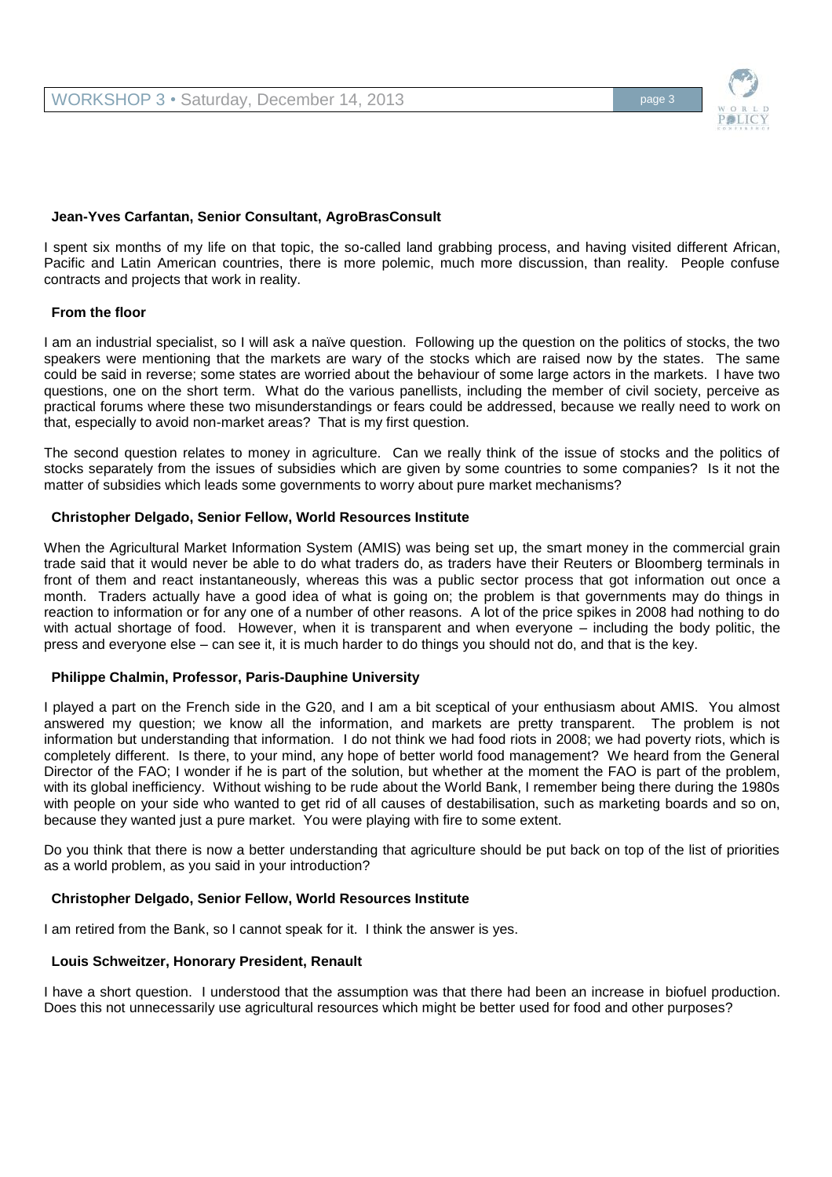

# **Jean-Yves Carfantan, Senior Consultant, AgroBrasConsult**

I spent six months of my life on that topic, the so-called land grabbing process, and having visited different African, Pacific and Latin American countries, there is more polemic, much more discussion, than reality. People confuse contracts and projects that work in reality.

# **From the floor**

I am an industrial specialist, so I will ask a naïve question. Following up the question on the politics of stocks, the two speakers were mentioning that the markets are wary of the stocks which are raised now by the states. The same could be said in reverse; some states are worried about the behaviour of some large actors in the markets. I have two questions, one on the short term. What do the various panellists, including the member of civil society, perceive as practical forums where these two misunderstandings or fears could be addressed, because we really need to work on that, especially to avoid non-market areas? That is my first question.

The second question relates to money in agriculture. Can we really think of the issue of stocks and the politics of stocks separately from the issues of subsidies which are given by some countries to some companies? Is it not the matter of subsidies which leads some governments to worry about pure market mechanisms?

# **Christopher Delgado, Senior Fellow, World Resources Institute**

When the Agricultural Market Information System (AMIS) was being set up, the smart money in the commercial grain trade said that it would never be able to do what traders do, as traders have their Reuters or Bloomberg terminals in front of them and react instantaneously, whereas this was a public sector process that got information out once a month. Traders actually have a good idea of what is going on; the problem is that governments may do things in reaction to information or for any one of a number of other reasons. A lot of the price spikes in 2008 had nothing to do with actual shortage of food. However, when it is transparent and when everyone – including the body politic, the press and everyone else – can see it, it is much harder to do things you should not do, and that is the key.

# **Philippe Chalmin, Professor, Paris-Dauphine University**

I played a part on the French side in the G20, and I am a bit sceptical of your enthusiasm about AMIS. You almost answered my question; we know all the information, and markets are pretty transparent. The problem is not information but understanding that information. I do not think we had food riots in 2008; we had poverty riots, which is completely different. Is there, to your mind, any hope of better world food management? We heard from the General Director of the FAO; I wonder if he is part of the solution, but whether at the moment the FAO is part of the problem, with its global inefficiency. Without wishing to be rude about the World Bank, I remember being there during the 1980s with people on your side who wanted to get rid of all causes of destabilisation, such as marketing boards and so on, because they wanted just a pure market. You were playing with fire to some extent.

Do you think that there is now a better understanding that agriculture should be put back on top of the list of priorities as a world problem, as you said in your introduction?

# **Christopher Delgado, Senior Fellow, World Resources Institute**

I am retired from the Bank, so I cannot speak for it. I think the answer is yes.

# **Louis Schweitzer, Honorary President, Renault**

I have a short question. I understood that the assumption was that there had been an increase in biofuel production. Does this not unnecessarily use agricultural resources which might be better used for food and other purposes?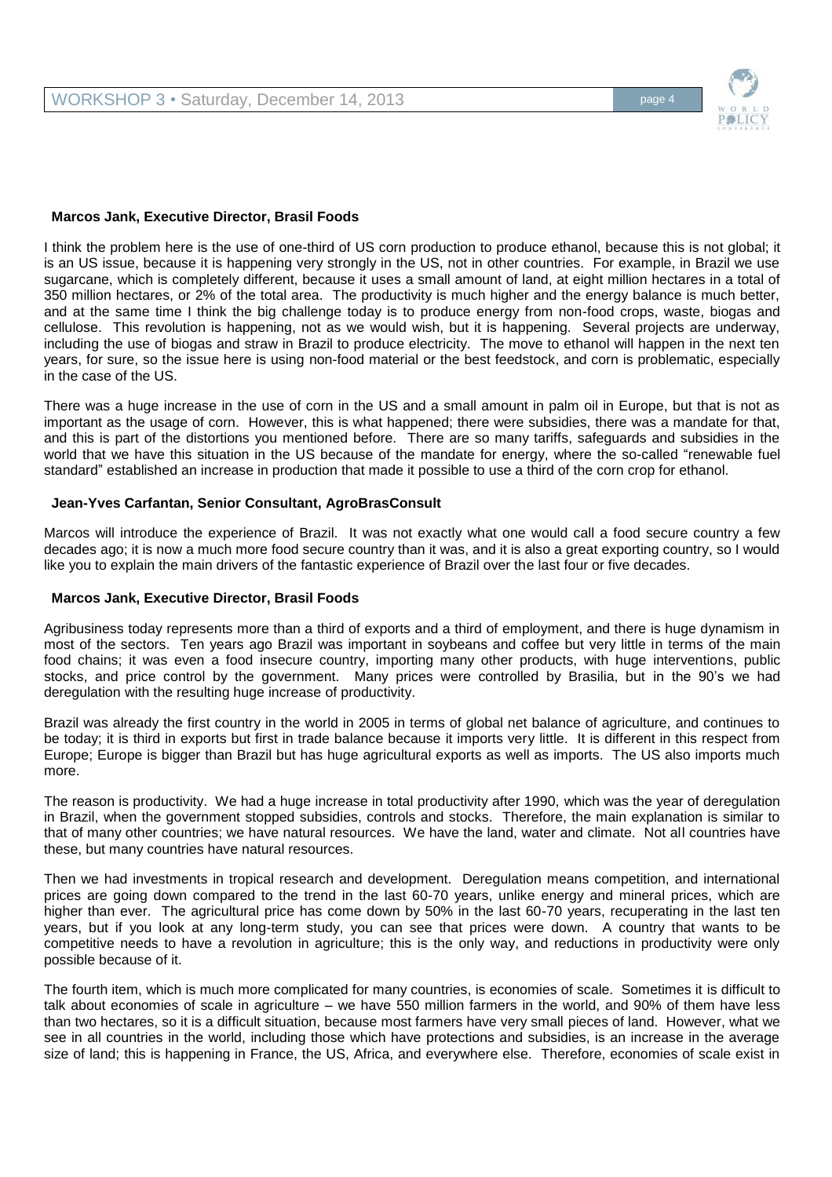

# **Marcos Jank, Executive Director, Brasil Foods**

I think the problem here is the use of one-third of US corn production to produce ethanol, because this is not global; it is an US issue, because it is happening very strongly in the US, not in other countries. For example, in Brazil we use sugarcane, which is completely different, because it uses a small amount of land, at eight million hectares in a total of 350 million hectares, or 2% of the total area. The productivity is much higher and the energy balance is much better, and at the same time I think the big challenge today is to produce energy from non-food crops, waste, biogas and cellulose. This revolution is happening, not as we would wish, but it is happening. Several projects are underway, including the use of biogas and straw in Brazil to produce electricity. The move to ethanol will happen in the next ten years, for sure, so the issue here is using non-food material or the best feedstock, and corn is problematic, especially in the case of the US.

There was a huge increase in the use of corn in the US and a small amount in palm oil in Europe, but that is not as important as the usage of corn. However, this is what happened; there were subsidies, there was a mandate for that, and this is part of the distortions you mentioned before. There are so many tariffs, safeguards and subsidies in the world that we have this situation in the US because of the mandate for energy, where the so-called "renewable fuel standard" established an increase in production that made it possible to use a third of the corn crop for ethanol.

# **Jean-Yves Carfantan, Senior Consultant, AgroBrasConsult**

Marcos will introduce the experience of Brazil. It was not exactly what one would call a food secure country a few decades ago; it is now a much more food secure country than it was, and it is also a great exporting country, so I would like you to explain the main drivers of the fantastic experience of Brazil over the last four or five decades.

# **Marcos Jank, Executive Director, Brasil Foods**

Agribusiness today represents more than a third of exports and a third of employment, and there is huge dynamism in most of the sectors. Ten years ago Brazil was important in soybeans and coffee but very little in terms of the main food chains; it was even a food insecure country, importing many other products, with huge interventions, public stocks, and price control by the government. Many prices were controlled by Brasilia, but in the 90's we had deregulation with the resulting huge increase of productivity.

Brazil was already the first country in the world in 2005 in terms of global net balance of agriculture, and continues to be today; it is third in exports but first in trade balance because it imports very little. It is different in this respect from Europe; Europe is bigger than Brazil but has huge agricultural exports as well as imports. The US also imports much more.

The reason is productivity. We had a huge increase in total productivity after 1990, which was the year of deregulation in Brazil, when the government stopped subsidies, controls and stocks. Therefore, the main explanation is similar to that of many other countries; we have natural resources. We have the land, water and climate. Not all countries have these, but many countries have natural resources.

Then we had investments in tropical research and development. Deregulation means competition, and international prices are going down compared to the trend in the last 60-70 years, unlike energy and mineral prices, which are higher than ever. The agricultural price has come down by 50% in the last 60-70 years, recuperating in the last ten years, but if you look at any long-term study, you can see that prices were down. A country that wants to be competitive needs to have a revolution in agriculture; this is the only way, and reductions in productivity were only possible because of it.

The fourth item, which is much more complicated for many countries, is economies of scale. Sometimes it is difficult to talk about economies of scale in agriculture – we have 550 million farmers in the world, and 90% of them have less than two hectares, so it is a difficult situation, because most farmers have very small pieces of land. However, what we see in all countries in the world, including those which have protections and subsidies, is an increase in the average size of land; this is happening in France, the US, Africa, and everywhere else. Therefore, economies of scale exist in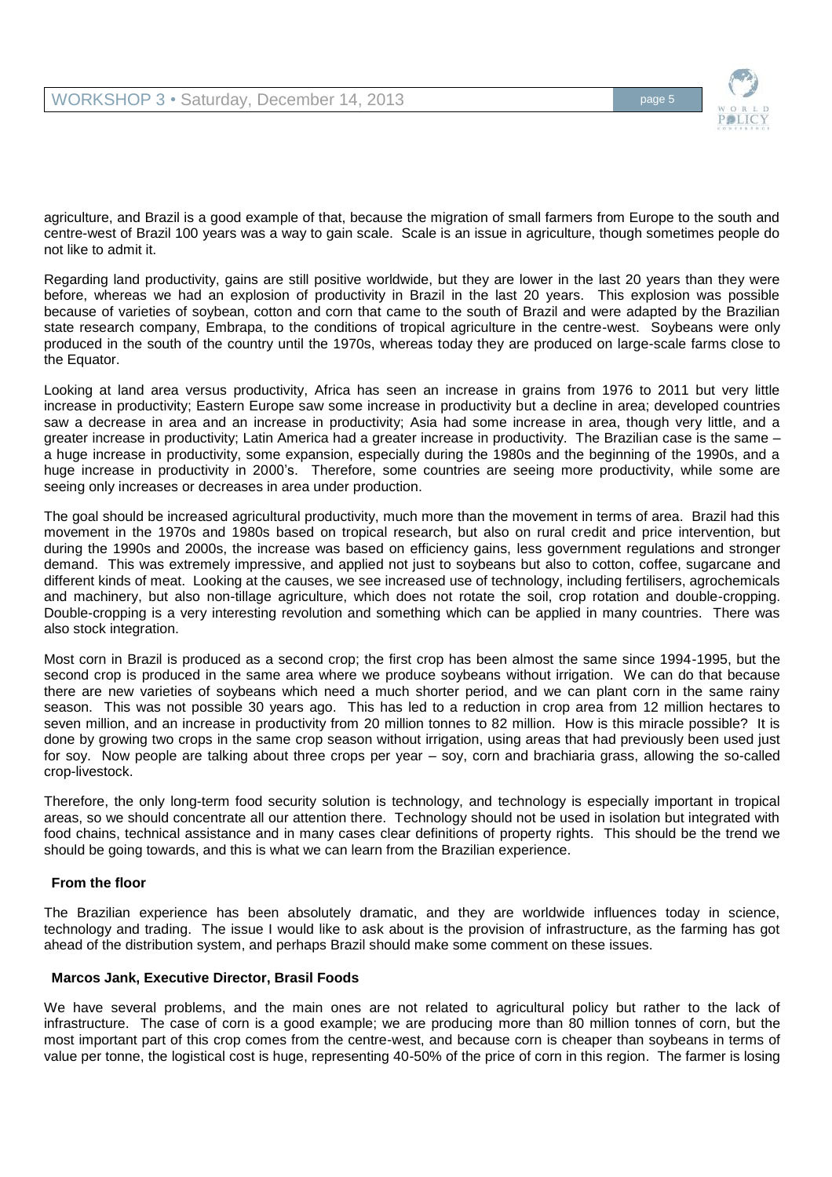

agriculture, and Brazil is a good example of that, because the migration of small farmers from Europe to the south and centre-west of Brazil 100 years was a way to gain scale. Scale is an issue in agriculture, though sometimes people do not like to admit it.

Regarding land productivity, gains are still positive worldwide, but they are lower in the last 20 years than they were before, whereas we had an explosion of productivity in Brazil in the last 20 years. This explosion was possible because of varieties of soybean, cotton and corn that came to the south of Brazil and were adapted by the Brazilian state research company, Embrapa, to the conditions of tropical agriculture in the centre-west. Soybeans were only produced in the south of the country until the 1970s, whereas today they are produced on large-scale farms close to the Equator.

Looking at land area versus productivity, Africa has seen an increase in grains from 1976 to 2011 but very little increase in productivity; Eastern Europe saw some increase in productivity but a decline in area; developed countries saw a decrease in area and an increase in productivity; Asia had some increase in area, though very little, and a greater increase in productivity; Latin America had a greater increase in productivity. The Brazilian case is the same – a huge increase in productivity, some expansion, especially during the 1980s and the beginning of the 1990s, and a huge increase in productivity in 2000's. Therefore, some countries are seeing more productivity, while some are seeing only increases or decreases in area under production.

The goal should be increased agricultural productivity, much more than the movement in terms of area. Brazil had this movement in the 1970s and 1980s based on tropical research, but also on rural credit and price intervention, but during the 1990s and 2000s, the increase was based on efficiency gains, less government regulations and stronger demand. This was extremely impressive, and applied not just to soybeans but also to cotton, coffee, sugarcane and different kinds of meat. Looking at the causes, we see increased use of technology, including fertilisers, agrochemicals and machinery, but also non-tillage agriculture, which does not rotate the soil, crop rotation and double-cropping. Double-cropping is a very interesting revolution and something which can be applied in many countries. There was also stock integration.

Most corn in Brazil is produced as a second crop; the first crop has been almost the same since 1994-1995, but the second crop is produced in the same area where we produce soybeans without irrigation. We can do that because there are new varieties of soybeans which need a much shorter period, and we can plant corn in the same rainy season. This was not possible 30 years ago. This has led to a reduction in crop area from 12 million hectares to seven million, and an increase in productivity from 20 million tonnes to 82 million. How is this miracle possible? It is done by growing two crops in the same crop season without irrigation, using areas that had previously been used just for soy. Now people are talking about three crops per year – soy, corn and brachiaria grass, allowing the so-called crop-livestock.

Therefore, the only long-term food security solution is technology, and technology is especially important in tropical areas, so we should concentrate all our attention there. Technology should not be used in isolation but integrated with food chains, technical assistance and in many cases clear definitions of property rights. This should be the trend we should be going towards, and this is what we can learn from the Brazilian experience.

# **From the floor**

The Brazilian experience has been absolutely dramatic, and they are worldwide influences today in science, technology and trading. The issue I would like to ask about is the provision of infrastructure, as the farming has got ahead of the distribution system, and perhaps Brazil should make some comment on these issues.

# **Marcos Jank, Executive Director, Brasil Foods**

We have several problems, and the main ones are not related to agricultural policy but rather to the lack of infrastructure. The case of corn is a good example; we are producing more than 80 million tonnes of corn, but the most important part of this crop comes from the centre-west, and because corn is cheaper than soybeans in terms of value per tonne, the logistical cost is huge, representing 40-50% of the price of corn in this region. The farmer is losing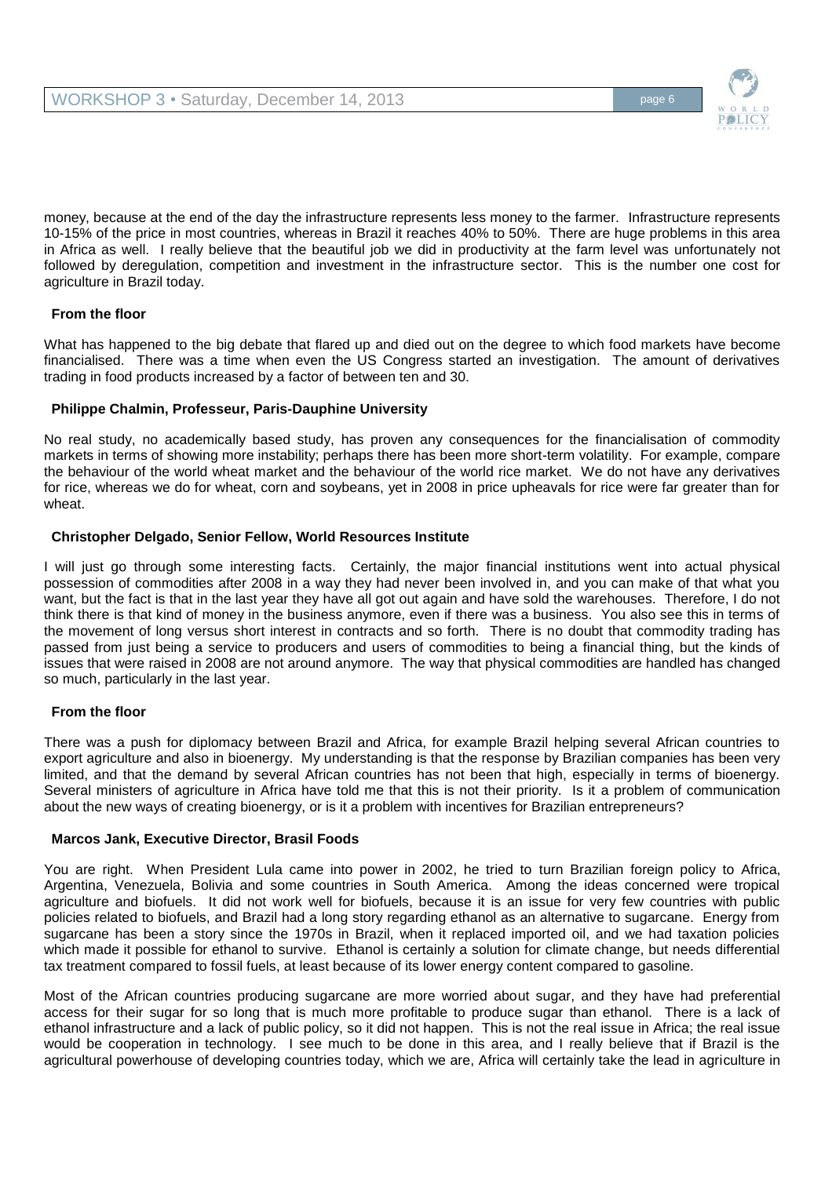

money, because at the end of the day the infrastructure represents less money to the farmer. Infrastructure represents 10-15% of the price in most countries, whereas in Brazil it reaches 40% to 50%. There are huge problems in this area in Africa as well. I really believe that the beautiful job we did in productivity at the farm level was unfortunately not followed by deregulation, competition and investment in the infrastructure sector. This is the number one cost for agriculture in Brazil today.

# **From the floor**

What has happened to the big debate that flared up and died out on the degree to which food markets have become financialised. There was a time when even the US Congress started an investigation. The amount of derivatives trading in food products increased by a factor of between ten and 30.

# **Philippe Chalmin, Professeur, Paris-Dauphine University**

No real study, no academically based study, has proven any consequences for the financialisation of commodity markets in terms of showing more instability; perhaps there has been more short-term volatility. For example, compare the behaviour of the world wheat market and the behaviour of the world rice market. We do not have any derivatives for rice, whereas we do for wheat, corn and soybeans, yet in 2008 in price upheavals for rice were far greater than for wheat.

# **Christopher Delgado, Senior Fellow, World Resources Institute**

I will just go through some interesting facts. Certainly, the major financial institutions went into actual physical possession of commodities after 2008 in a way they had never been involved in, and you can make of that what you want, but the fact is that in the last year they have all got out again and have sold the warehouses. Therefore, I do not think there is that kind of money in the business anymore, even if there was a business. You also see this in terms of the movement of long versus short interest in contracts and so forth. There is no doubt that commodity trading has passed from just being a service to producers and users of commodities to being a financial thing, but the kinds of issues that were raised in 2008 are not around anymore. The way that physical commodities are handled has changed so much, particularly in the last year.

# **From the floor**

There was a push for diplomacy between Brazil and Africa, for example Brazil helping several African countries to export agriculture and also in bioenergy. My understanding is that the response by Brazilian companies has been very limited, and that the demand by several African countries has not been that high, especially in terms of bioenergy. Several ministers of agriculture in Africa have told me that this is not their priority. Is it a problem of communication about the new ways of creating bioenergy, or is it a problem with incentives for Brazilian entrepreneurs?

# **Marcos Jank, Executive Director, Brasil Foods**

You are right. When President Lula came into power in 2002, he tried to turn Brazilian foreign policy to Africa, Argentina, Venezuela, Bolivia and some countries in South America. Among the ideas concerned were tropical agriculture and biofuels. It did not work well for biofuels, because it is an issue for very few countries with public policies related to biofuels, and Brazil had a long story regarding ethanol as an alternative to sugarcane. Energy from sugarcane has been a story since the 1970s in Brazil, when it replaced imported oil, and we had taxation policies which made it possible for ethanol to survive. Ethanol is certainly a solution for climate change, but needs differential tax treatment compared to fossil fuels, at least because of its lower energy content compared to gasoline.

Most of the African countries producing sugarcane are more worried about sugar, and they have had preferential access for their sugar for so long that is much more profitable to produce sugar than ethanol. There is a lack of ethanol infrastructure and a lack of public policy, so it did not happen. This is not the real issue in Africa; the real issue would be cooperation in technology. I see much to be done in this area, and I really believe that if Brazil is the agricultural powerhouse of developing countries today, which we are, Africa will certainly take the lead in agriculture in